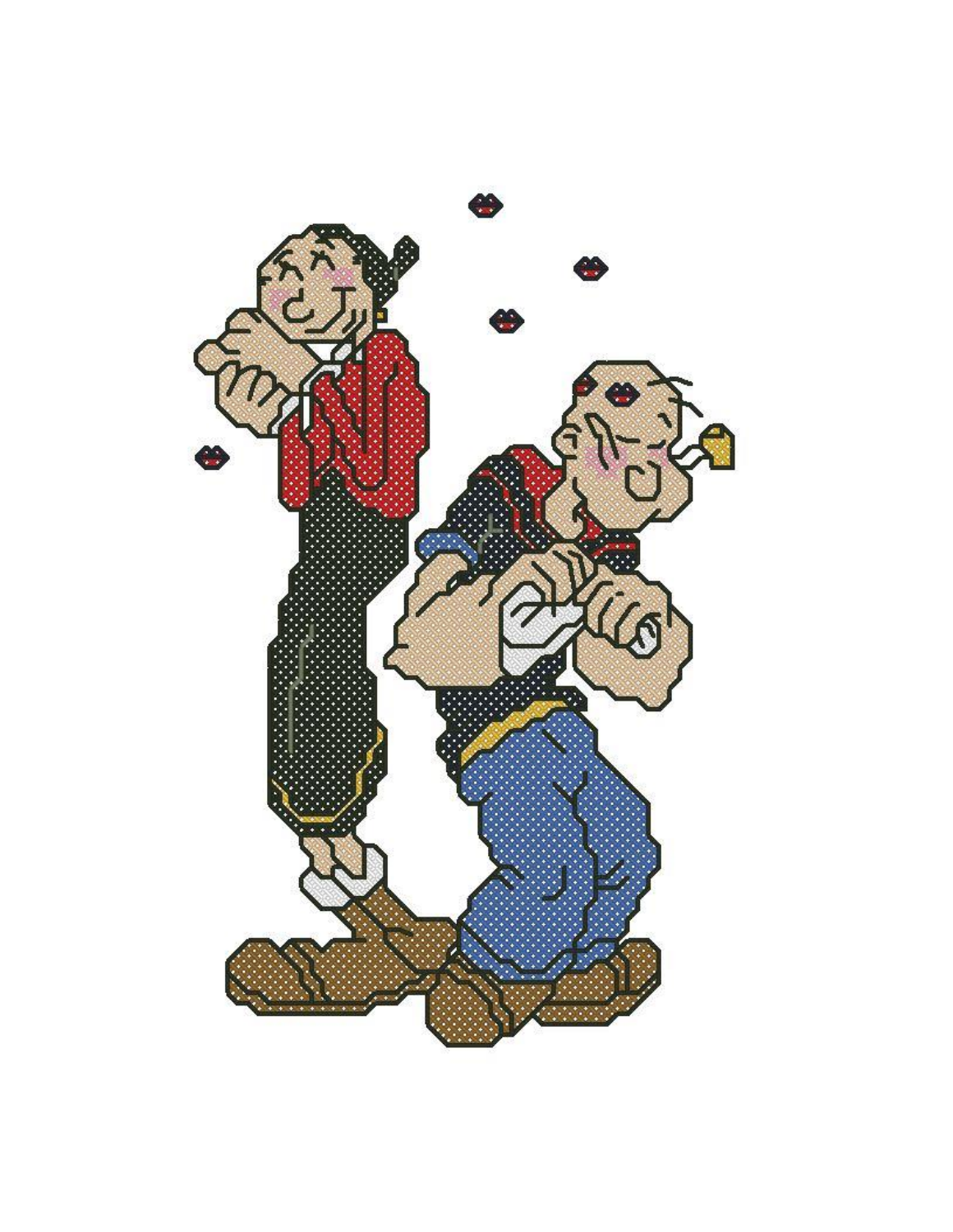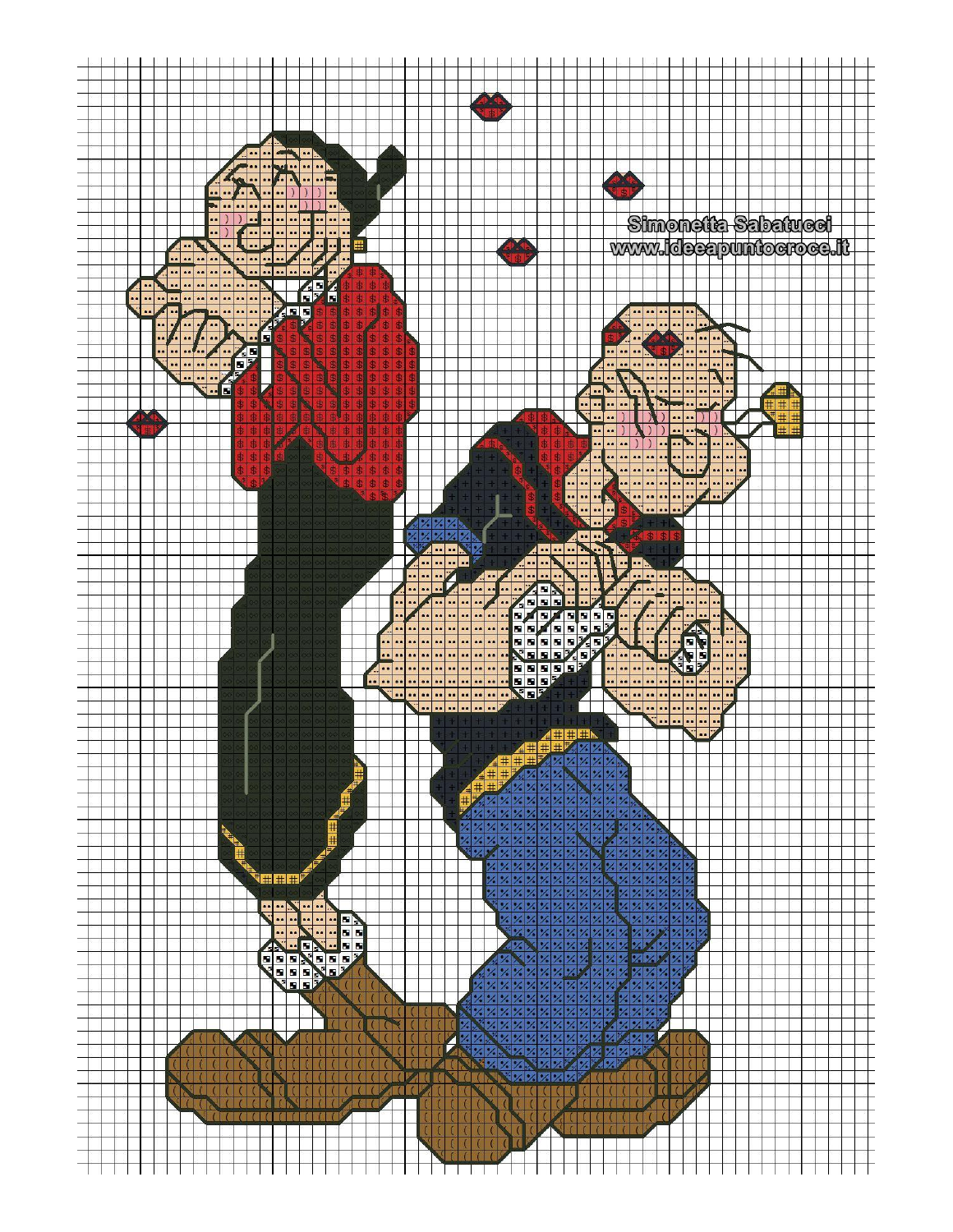